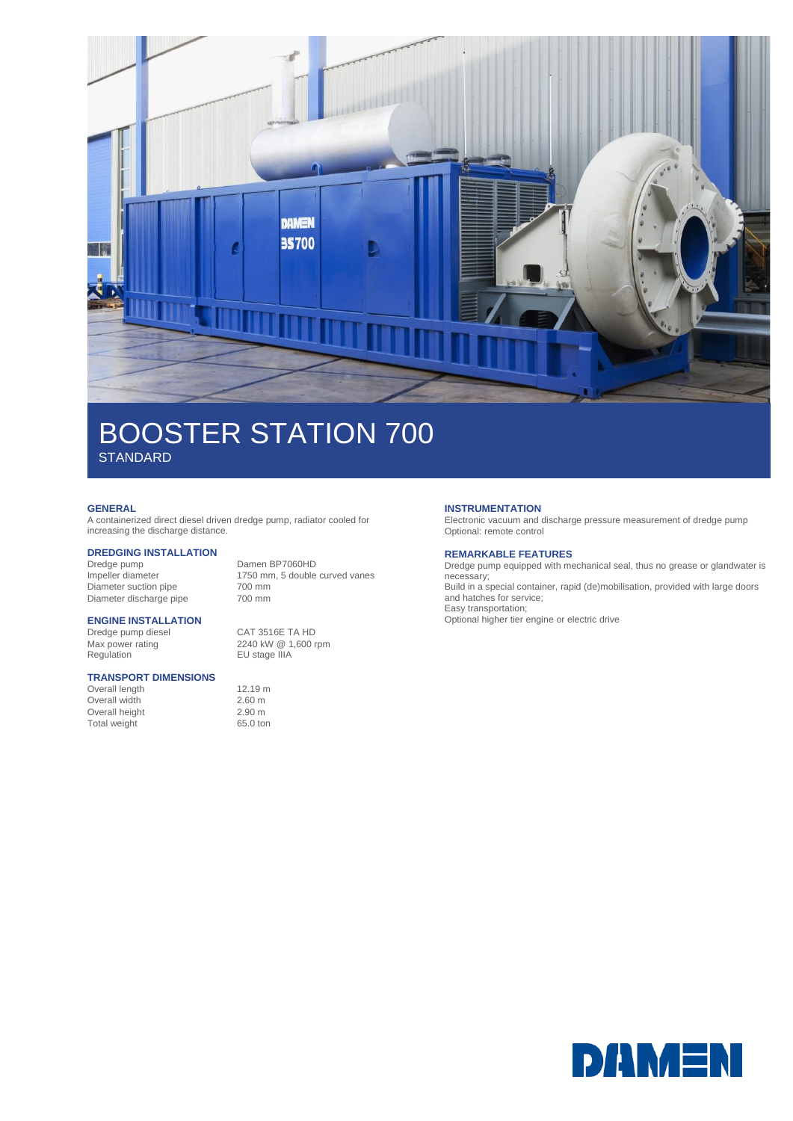

# BOOSTER STATION 700 **STANDARD**

### **GENERAL**

A containerized direct diesel driven dredge pump, radiator cooled for increasing the discharge distance.

# **DREDGING INSTALLATION**

Dredge pump Damen BP7060HD Diameter suction pipe 700 mm<br>Diameter discharge pipe 700 mm Diameter discharge pipe

1750 mm, 5 double curved vanes<br>700 mm

### **ENGINE INSTALLATION**

Dredge pump diesel<br>
Max power rating 
2240 kW 
@ 1,600 r Regulation **EU** stage IIIA

### **TRANSPORT DIMENSIONS**

Overall length 12.19 m Overall width 2.60 m Overall height 2.90 m<br>
Total weight 65.0 ton Total weight

2240 kW @ 1,600 rpm

## **INSTRUMENTATION**

Electronic vacuum and discharge pressure measurement of dredge pump Optional: remote control

### **REMARKABLE FEATURES**

Dredge pump equipped with mechanical seal, thus no grease or glandwater is necessary; Build in a special container, rapid (de)mobilisation, provided with large doors and hatches for service; Easy transportation;

Optional higher tier engine or electric drive